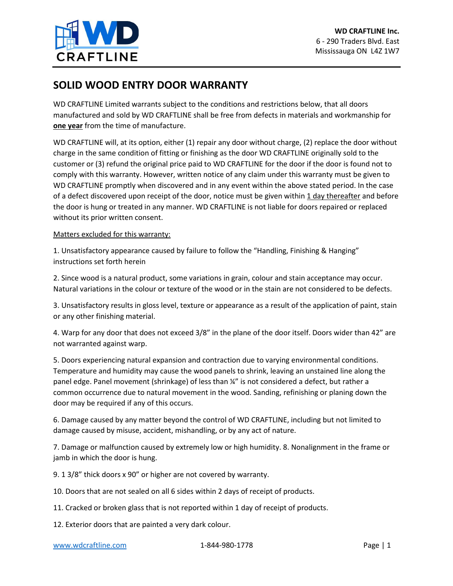

## **SOLID WOOD ENTRY DOOR WARRANTY**

WD CRAFTLINE Limited warrants subject to the conditions and restrictions below, that all doors manufactured and sold by WD CRAFTLINE shall be free from defects in materials and workmanship for **one year** from the time of manufacture.

WD CRAFTLINE will, at its option, either (1) repair any door without charge, (2) replace the door without charge in the same condition of fitting or finishing as the door WD CRAFTLINE originally sold to the customer or (3) refund the original price paid to WD CRAFTLINE for the door if the door is found not to comply with this warranty. However, written notice of any claim under this warranty must be given to WD CRAFTLINE promptly when discovered and in any event within the above stated period. In the case of a defect discovered upon receipt of the door, notice must be given within  $1$  day thereafter and before the door is hung or treated in any manner. WD CRAFTLINE is not liable for doors repaired or replaced without its prior written consent.

## Matters excluded for this warranty:

1. Unsatisfactory appearance caused by failure to follow the "Handling, Finishing & Hanging" instructions set forth herein

2. Since wood is a natural product, some variations in grain, colour and stain acceptance may occur. Natural variations in the colour or texture of the wood or in the stain are not considered to be defects.

3. Unsatisfactory results in gloss level, texture or appearance as a result of the application of paint, stain or any other finishing material.

4. Warp for any door that does not exceed 3/8" in the plane of the door itself. Doors wider than 42" are not warranted against warp.

5. Doors experiencing natural expansion and contraction due to varying environmental conditions. Temperature and humidity may cause the wood panels to shrink, leaving an unstained line along the panel edge. Panel movement (shrinkage) of less than ¼" is not considered a defect, but rather a common occurrence due to natural movement in the wood. Sanding, refinishing or planing down the door may be required if any of this occurs.

6. Damage caused by any matter beyond the control of WD CRAFTLINE, including but not limited to damage caused by misuse, accident, mishandling, or by any act of nature.

7. Damage or malfunction caused by extremely low or high humidity. 8. Nonalignment in the frame or jamb in which the door is hung.

9. 1 3/8" thick doors x 90" or higher are not covered by warranty.

10. Doors that are not sealed on all 6 sides within 2 days of receipt of products.

11. Cracked or broken glass that is not reported within 1 day of receipt of products.

12. Exterior doors that are painted a very dark colour.